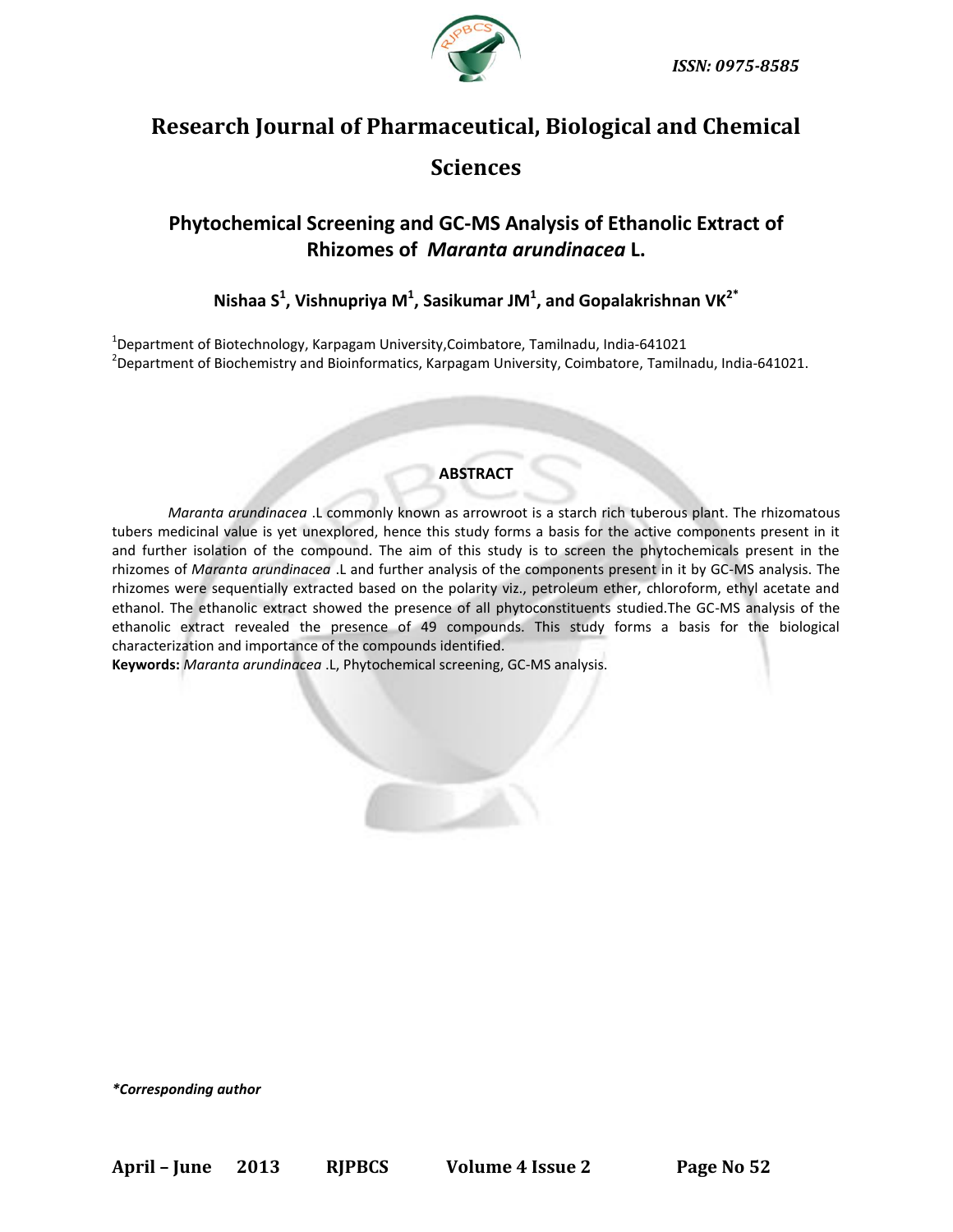

# **Research Journal of Pharmaceutical, Biological and Chemical Sciences**

## **Phytochemical Screening and GC-MS Analysis of Ethanolic Extract of Rhizomes of** *Maranta arundinacea* **L.**

**Nishaa S 1 , Vishnupriya M 1 , Sasikumar JM<sup>1</sup> , and Gopalakrishnan VK2\***

1 Department of Biotechnology, Karpagam University,Coimbatore, Tamilnadu, India-641021 2 Department of Biochemistry and Bioinformatics, Karpagam University, Coimbatore, Tamilnadu, India-641021.

### **ABSTRACT**

*Maranta arundinacea* .L commonly known as arrowroot is a starch rich tuberous plant. The rhizomatous tubers medicinal value is yet unexplored, hence this study forms a basis for the active components present in it and further isolation of the compound. The aim of this study is to screen the phytochemicals present in the rhizomes of *Maranta arundinacea* .L and further analysis of the components present in it by GC-MS analysis. The rhizomes were sequentially extracted based on the polarity viz., petroleum ether, chloroform, ethyl acetate and ethanol. The ethanolic extract showed the presence of all phytoconstituents studied.The GC-MS analysis of the ethanolic extract revealed the presence of 49 compounds. This study forms a basis for the biological characterization and importance of the compounds identified.

**Keywords:** *Maranta arundinacea* .L, Phytochemical screening, GC-MS analysis.

*\*Corresponding author*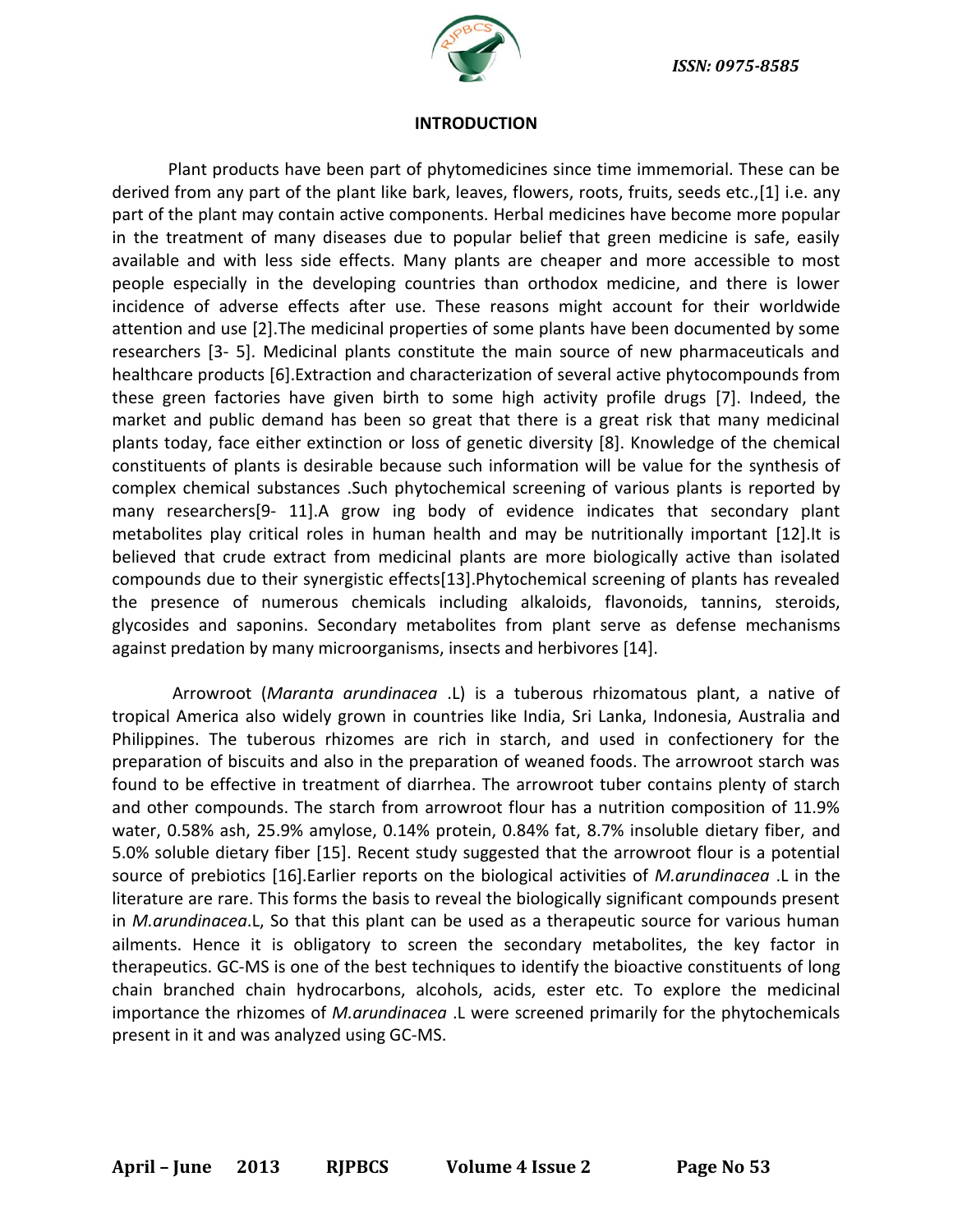

#### **INTRODUCTION**

Plant products have been part of phytomedicines since time immemorial. These can be derived from any part of the plant like bark, leaves, flowers, roots, fruits, seeds etc.,[1] i.e. any part of the plant may contain active components. Herbal medicines have become more popular in the treatment of many diseases due to popular belief that green medicine is safe, easily available and with less side effects. Many plants are cheaper and more accessible to most people especially in the developing countries than orthodox medicine, and there is lower incidence of adverse effects after use. These reasons might account for their worldwide attention and use [2].The medicinal properties of some plants have been documented by some researchers [3- 5]. Medicinal plants constitute the main source of new pharmaceuticals and healthcare products [6].Extraction and characterization of several active phytocompounds from these green factories have given birth to some high activity profile drugs [7]. Indeed, the market and public demand has been so great that there is a great risk that many medicinal plants today, face either extinction or loss of genetic diversity [8]. Knowledge of the chemical constituents of plants is desirable because such information will be value for the synthesis of complex chemical substances .Such phytochemical screening of various plants is reported by many researchers[9- 11].A grow ing body of evidence indicates that secondary plant metabolites play critical roles in human health and may be nutritionally important [12].It is believed that crude extract from medicinal plants are more biologically active than isolated compounds due to their synergistic effects[13].Phytochemical screening of plants has revealed the presence of numerous chemicals including alkaloids, flavonoids, tannins, steroids, glycosides and saponins. Secondary metabolites from plant serve as defense mechanisms against predation by many microorganisms, insects and herbivores [14].

Arrowroot (*Maranta arundinacea* .L) is a tuberous rhizomatous plant, a native of tropical America also widely grown in countries like India, Sri Lanka, Indonesia, Australia and Philippines. The tuberous rhizomes are rich in starch, and used in confectionery for the preparation of biscuits and also in the preparation of weaned foods. The arrowroot starch was found to be effective in treatment of diarrhea. The arrowroot tuber contains plenty of starch and other compounds. The starch from arrowroot flour has a nutrition composition of 11.9% water, 0.58% ash, 25.9% amylose, 0.14% protein, 0.84% fat, 8.7% insoluble dietary fiber, and 5.0% soluble dietary fiber [15]. Recent study suggested that the arrowroot flour is a potential source of prebiotics [16].Earlier reports on the biological activities of *M.arundinacea* .L in the literature are rare. This forms the basis to reveal the biologically significant compounds present in *M.arundinacea*.L, So that this plant can be used as a therapeutic source for various human ailments. Hence it is obligatory to screen the secondary metabolites, the key factor in therapeutics. GC-MS is one of the best techniques to identify the bioactive constituents of long chain branched chain hydrocarbons, alcohols, acids, ester etc. To explore the medicinal importance the rhizomes of *M.arundinacea* .L were screened primarily for the phytochemicals present in it and was analyzed using GC-MS.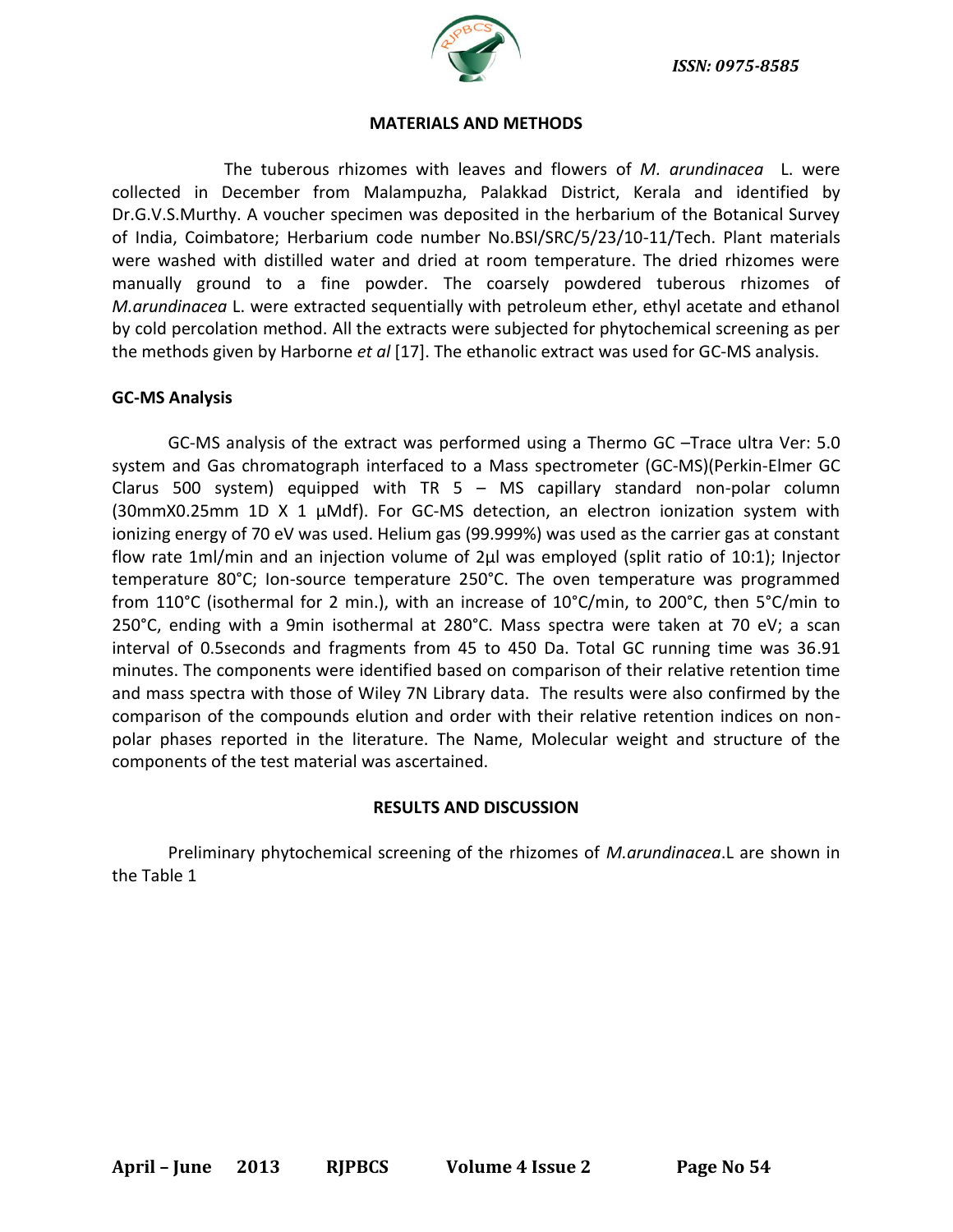

#### **MATERIALS AND METHODS**

The tuberous rhizomes with leaves and flowers of *M. arundinacea* L. were collected in December from Malampuzha, Palakkad District, Kerala and identified by Dr.G.V.S.Murthy. A voucher specimen was deposited in the herbarium of the Botanical Survey of India, Coimbatore; Herbarium code number No.BSI/SRC/5/23/10-11/Tech. Plant materials were washed with distilled water and dried at room temperature. The dried rhizomes were manually ground to a fine powder. The coarsely powdered tuberous rhizomes of *M.arundinacea* L. were extracted sequentially with petroleum ether, ethyl acetate and ethanol by cold percolation method. All the extracts were subjected for phytochemical screening as per the methods given by Harborne *et al* [17]. The ethanolic extract was used for GC-MS analysis.

#### **GC-MS Analysis**

GC-MS analysis of the extract was performed using a Thermo GC –Trace ultra Ver: 5.0 system and Gas chromatograph interfaced to a Mass spectrometer (GC-MS)(Perkin-Elmer GC Clarus 500 system) equipped with TR 5 – MS capillary standard non-polar column (30mmX0.25mm 1D X 1  $\mu$ Mdf). For GC-MS detection, an electron ionization system with ionizing energy of 70 eV was used. Helium gas (99.999%) was used as the carrier gas at constant flow rate 1ml/min and an injection volume of 2μl was employed (split ratio of 10:1); Injector temperature 80°C; Ion-source temperature 250°C. The oven temperature was programmed from 110°C (isothermal for 2 min.), with an increase of 10°C/min, to 200°C, then 5°C/min to 250°C, ending with a 9min isothermal at 280°C. Mass spectra were taken at 70 eV; a scan interval of 0.5seconds and fragments from 45 to 450 Da. Total GC running time was 36.91 minutes. The components were identified based on comparison of their relative retention time and mass spectra with those of Wiley 7N Library data. The results were also confirmed by the comparison of the compounds elution and order with their relative retention indices on nonpolar phases reported in the literature. The Name, Molecular weight and structure of the components of the test material was ascertained.

#### **RESULTS AND DISCUSSION**

Preliminary phytochemical screening of the rhizomes of *M.arundinacea*.L are shown in the Table 1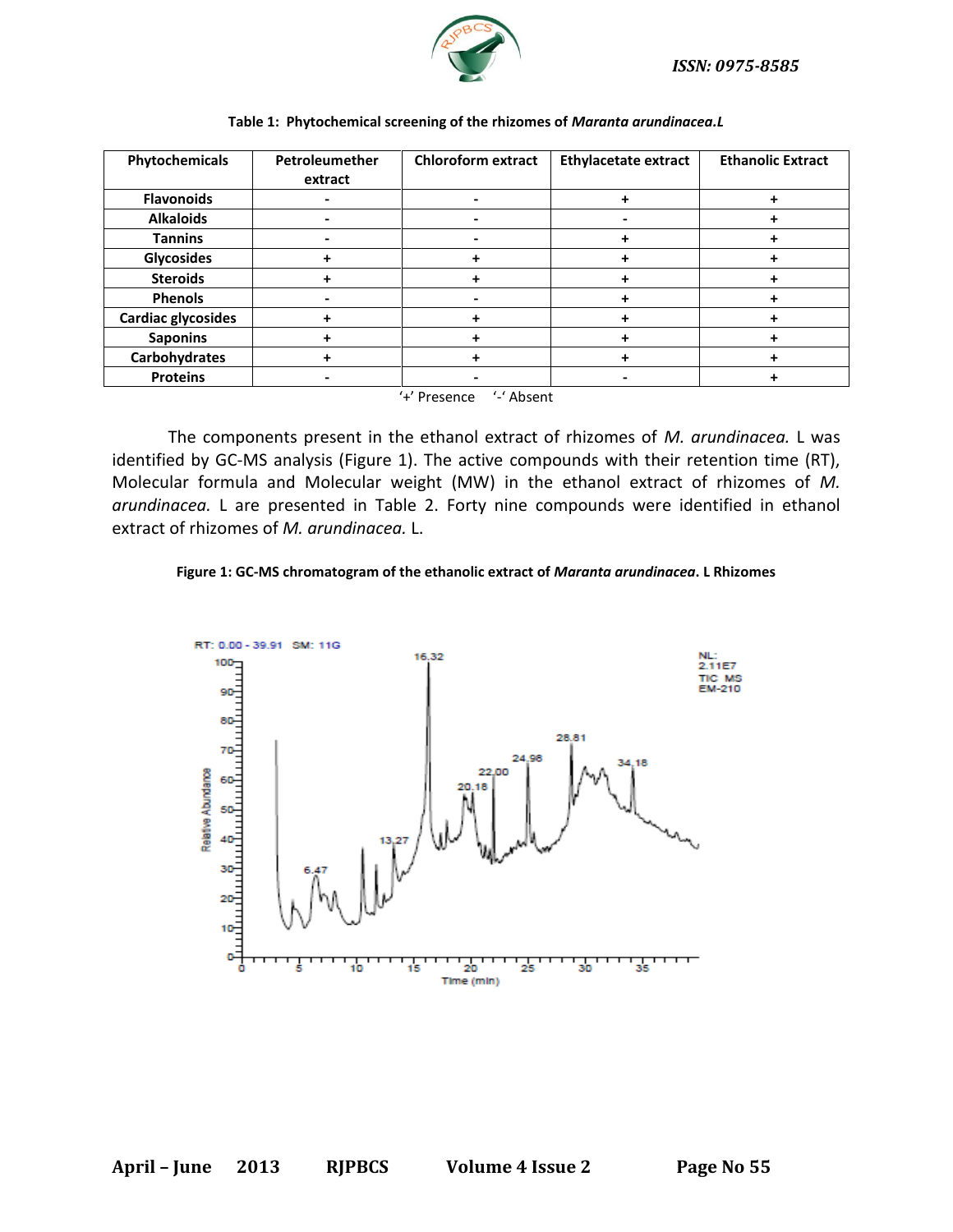

| Phytochemicals             | Petroleumether | <b>Chloroform extract</b> | <b>Ethylacetate extract</b> | <b>Ethanolic Extract</b> |  |  |
|----------------------------|----------------|---------------------------|-----------------------------|--------------------------|--|--|
|                            | extract        |                           |                             |                          |  |  |
| <b>Flavonoids</b>          |                |                           |                             |                          |  |  |
| <b>Alkaloids</b>           | -              |                           |                             |                          |  |  |
| <b>Tannins</b>             | ۰              |                           |                             |                          |  |  |
| <b>Glycosides</b>          |                |                           |                             |                          |  |  |
| <b>Steroids</b>            |                |                           |                             |                          |  |  |
| <b>Phenols</b>             |                |                           |                             |                          |  |  |
| <b>Cardiac glycosides</b>  | +              |                           |                             |                          |  |  |
| <b>Saponins</b>            | +              |                           |                             |                          |  |  |
| Carbohydrates              |                |                           |                             |                          |  |  |
| <b>Proteins</b>            | -              |                           |                             |                          |  |  |
| '-' Absent<br>'+' Presence |                |                           |                             |                          |  |  |

#### **Table 1: Phytochemical screening of the rhizomes of** *Maranta arundinacea.L*

The components present in the ethanol extract of rhizomes of *M. arundinacea.* L was identified by GC-MS analysis (Figure 1). The active compounds with their retention time (RT), Molecular formula and Molecular weight (MW) in the ethanol extract of rhizomes of *M. arundinacea.* L are presented in Table 2. Forty nine compounds were identified in ethanol extract of rhizomes of *M. arundinacea.* L.

#### **Figure 1: GC-MS chromatogram of the ethanolic extract of** *Maranta arundinacea***. L Rhizomes**

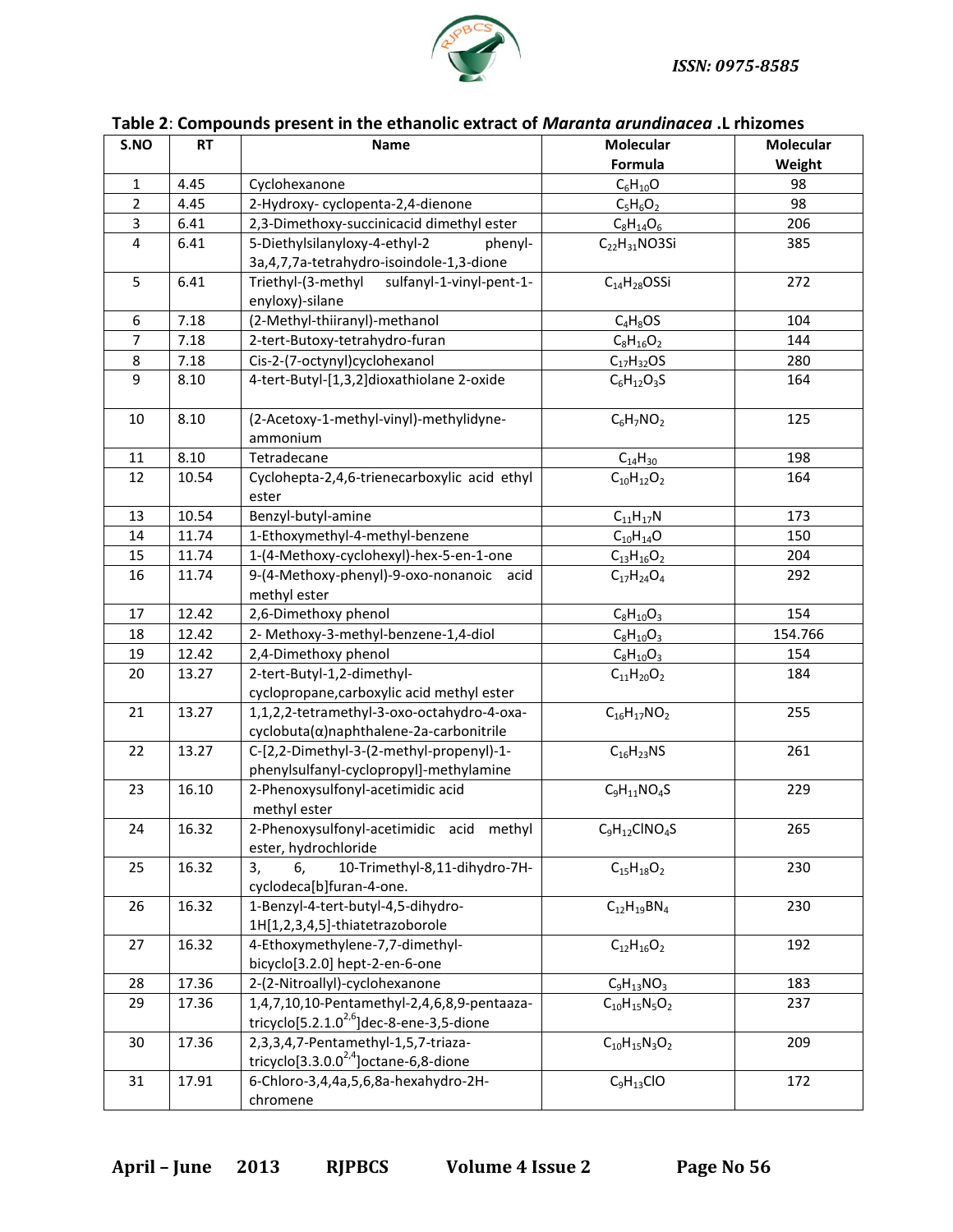

| Table 2: Compounds present in the ethanolic extract of Maranta arundinacea .L rhizomes |           |                                                                                           |                             |                            |  |  |
|----------------------------------------------------------------------------------------|-----------|-------------------------------------------------------------------------------------------|-----------------------------|----------------------------|--|--|
| S.NO                                                                                   | <b>RT</b> | <b>Name</b>                                                                               | <b>Molecular</b><br>Formula | <b>Molecular</b><br>Weight |  |  |
| 1                                                                                      | 4.45      | Cyclohexanone                                                                             | $C_6H_{10}O$                | 98                         |  |  |
| $\overline{2}$                                                                         | 4.45      | 2-Hydroxy-cyclopenta-2,4-dienone                                                          | $C_5H_6O_2$                 | 98                         |  |  |
| 3                                                                                      | 6.41      | 2,3-Dimethoxy-succinicacid dimethyl ester                                                 |                             | 206                        |  |  |
|                                                                                        |           |                                                                                           | $C_8H_{14}O_6$              |                            |  |  |
| 4                                                                                      | 6.41      | 5-Diethylsilanyloxy-4-ethyl-2<br>phenyl-<br>3a, 4, 7, 7a-tetrahydro-isoindole-1, 3-dione  | $C_{22}H_{31}NO3Si$         | 385                        |  |  |
| 5                                                                                      | 6.41      | Triethyl-(3-methyl<br>sulfanyl-1-vinyl-pent-1-<br>enyloxy)-silane                         | $C_{14}H_{28}OSSi$          | 272                        |  |  |
| 6                                                                                      | 7.18      | (2-Methyl-thiiranyl)-methanol                                                             | $C_4H_8OS$                  | 104                        |  |  |
| $\overline{7}$                                                                         | 7.18      | 2-tert-Butoxy-tetrahydro-furan                                                            | $C_8H_{16}O_2$              | 144                        |  |  |
| 8                                                                                      | 7.18      | Cis-2-(7-octynyl)cyclohexanol                                                             | $C_{17}H_{32}OS$            | 280                        |  |  |
| 9                                                                                      | 8.10      | 4-tert-Butyl-[1,3,2]dioxathiolane 2-oxide                                                 | $C_6H_{12}O_3S$             | 164                        |  |  |
| 10                                                                                     | 8.10      | (2-Acetoxy-1-methyl-vinyl)-methylidyne-<br>ammonium                                       | $C_6H_7NO_2$                | 125                        |  |  |
| 11                                                                                     | 8.10      | Tetradecane                                                                               | $C_{14}H_{30}$              | 198                        |  |  |
| 12                                                                                     | 10.54     | Cyclohepta-2,4,6-trienecarboxylic acid ethyl<br>ester                                     | $C_{10}H_{12}O_2$           | 164                        |  |  |
| 13                                                                                     | 10.54     | Benzyl-butyl-amine                                                                        | $C_{11}H_{17}N$             | 173                        |  |  |
| 14                                                                                     | 11.74     | 1-Ethoxymethyl-4-methyl-benzene                                                           | $C_{10}H_{14}O$             | 150                        |  |  |
| 15                                                                                     | 11.74     | 1-(4-Methoxy-cyclohexyl)-hex-5-en-1-one                                                   | $C_{13}H_{16}O_2$           | 204                        |  |  |
| 16                                                                                     | 11.74     | 9-(4-Methoxy-phenyl)-9-oxo-nonanoic acid<br>methyl ester                                  | $C_{17}H_{24}O_4$           | 292                        |  |  |
| 17                                                                                     | 12.42     | 2,6-Dimethoxy phenol                                                                      | $C_8H_{10}O_3$              | 154                        |  |  |
| 18                                                                                     | 12.42     | 2- Methoxy-3-methyl-benzene-1,4-diol                                                      | $C_8H_{10}O_3$              | 154.766                    |  |  |
| 19                                                                                     | 12.42     | 2,4-Dimethoxy phenol                                                                      | $C_8H_{10}O_3$              | 154                        |  |  |
| 20                                                                                     | 13.27     | 2-tert-Butyl-1,2-dimethyl-                                                                | $C_{11}H_{20}O_2$           | 184                        |  |  |
|                                                                                        |           | cyclopropane, carboxylic acid methyl ester                                                |                             |                            |  |  |
| 21                                                                                     | 13.27     | 1,1,2,2-tetramethyl-3-oxo-octahydro-4-oxa-<br>cyclobuta(α)naphthalene-2a-carbonitrile     | $C_{16}H_{17}NO_2$          | 255                        |  |  |
| 22                                                                                     | 13.27     | C-[2,2-Dimethyl-3-(2-methyl-propenyl)-1-<br>phenylsulfanyl-cyclopropyl]-methylamine       | $C_{16}H_{23}NS$            | 261                        |  |  |
| 23                                                                                     | 16.10     | 2-Phenoxysulfonyl-acetimidic acid<br>methyl ester                                         | $C_9H_{11}NO_4S$            | 229                        |  |  |
| 24                                                                                     | 16.32     | 2-Phenoxysulfonyl-acetimidic acid methyl<br>ester, hydrochloride                          | $C_9H_{12}CINO_4S$          | 265                        |  |  |
| 25                                                                                     | 16.32     | 10-Trimethyl-8,11-dihydro-7H-<br>3,<br>6.<br>cyclodeca[b]furan-4-one.                     | $C_{15}H_{18}O_2$           | 230                        |  |  |
| 26                                                                                     | 16.32     | 1-Benzyl-4-tert-butyl-4,5-dihydro-<br>1H[1,2,3,4,5]-thiatetrazoborole                     | $C_{12}H_{19}BN_4$          | 230                        |  |  |
| 27                                                                                     | 16.32     | 4-Ethoxymethylene-7,7-dimethyl-<br>bicyclo[3.2.0] hept-2-en-6-one                         | $C_{12}H_{16}O_2$           | 192                        |  |  |
| 28                                                                                     | 17.36     | 2-(2-Nitroallyl)-cyclohexanone                                                            | $C_9H_{13}NO_3$             | 183                        |  |  |
| 29                                                                                     | 17.36     | 1,4,7,10,10-Pentamethyl-2,4,6,8,9-pentaaza-                                               | $C_{10}H_{15}N_5O_2$        | 237                        |  |  |
|                                                                                        |           | tricyclo[5.2.1.0 <sup>2,6</sup> ]dec-8-ene-3,5-dione                                      |                             |                            |  |  |
| 30                                                                                     | 17.36     | 2,3,3,4,7-Pentamethyl-1,5,7-triaza-<br>tricyclo[3.3.0.0 <sup>2,4</sup> ] octane-6,8-dione | $C_{10}H_{15}N_3O_2$        | 209                        |  |  |
| 31                                                                                     | 17.91     | 6-Chloro-3,4,4a,5,6,8a-hexahydro-2H-<br>chromene                                          | $C_9H_{13}ClO$              | 172                        |  |  |

**April – June 2013 RJPBCS Volume 4 Issue 2 Page No 56**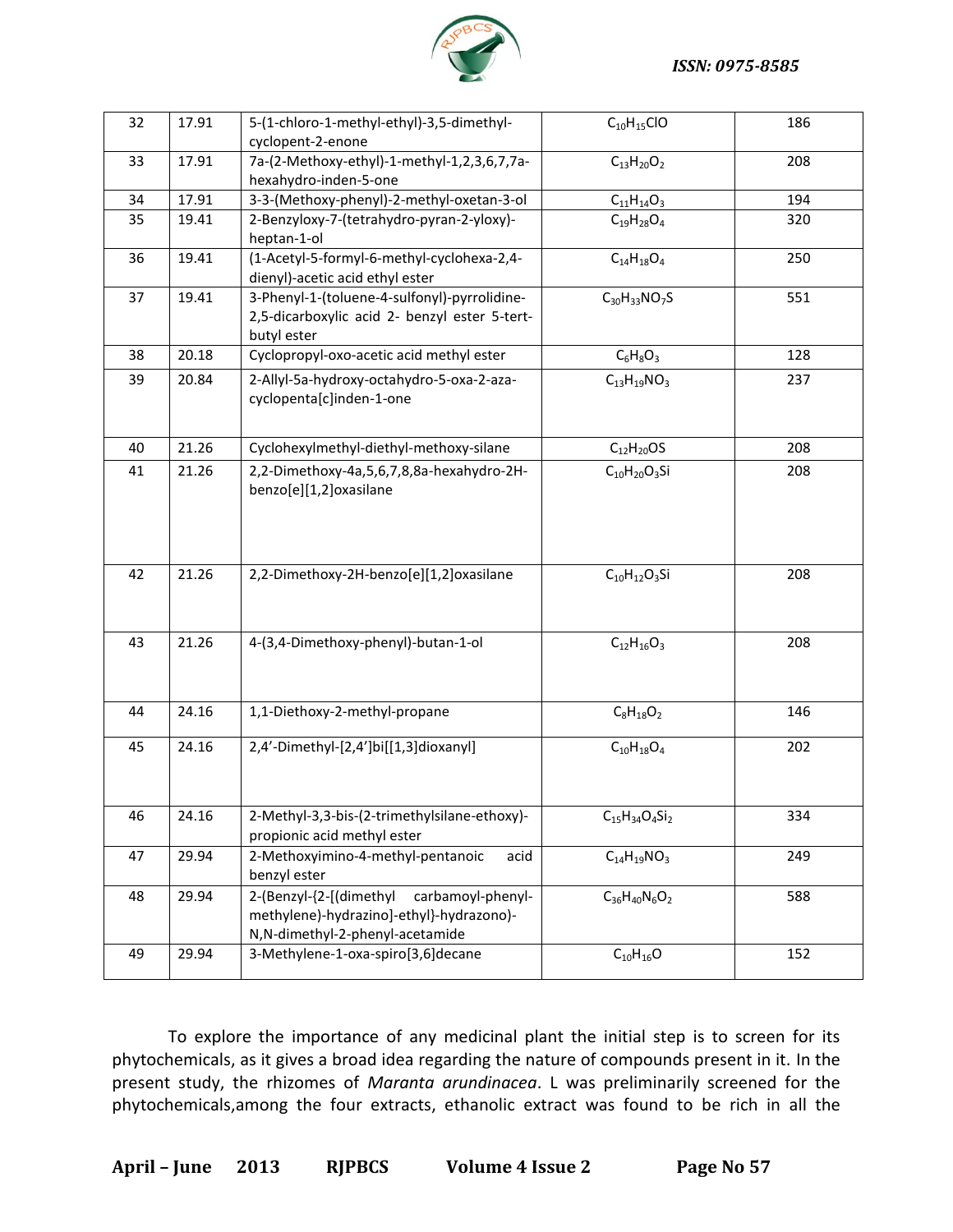

| 32 | 17.91 | 5-(1-chloro-1-methyl-ethyl)-3,5-dimethyl-<br>cyclopent-2-enone                                                              | $C_{10}H_{15}ClO$     | 186 |
|----|-------|-----------------------------------------------------------------------------------------------------------------------------|-----------------------|-----|
| 33 | 17.91 | 7a-(2-Methoxy-ethyl)-1-methyl-1,2,3,6,7,7a-<br>hexahydro-inden-5-one                                                        | $C_{13}H_{20}O_2$     | 208 |
| 34 | 17.91 | 3-3-(Methoxy-phenyl)-2-methyl-oxetan-3-ol                                                                                   | $C_{11}H_{14}O_3$     | 194 |
| 35 | 19.41 | 2-Benzyloxy-7-(tetrahydro-pyran-2-yloxy)-<br>heptan-1-ol                                                                    | $C_{19}H_{28}O_4$     | 320 |
| 36 | 19.41 | (1-Acetyl-5-formyl-6-methyl-cyclohexa-2,4-<br>dienyl)-acetic acid ethyl ester                                               | $C_{14}H_{18}O_4$     | 250 |
| 37 | 19.41 | 3-Phenyl-1-(toluene-4-sulfonyl)-pyrrolidine-<br>2,5-dicarboxylic acid 2- benzyl ester 5-tert-<br>butyl ester                | $C_{30}H_{33}NO_7S$   | 551 |
| 38 | 20.18 | Cyclopropyl-oxo-acetic acid methyl ester                                                                                    | $C_6H_8O_3$           | 128 |
| 39 | 20.84 | 2-Allyl-5a-hydroxy-octahydro-5-oxa-2-aza-<br>cyclopenta[c]inden-1-one                                                       | $C_{13}H_{19}NO_3$    | 237 |
| 40 | 21.26 | Cyclohexylmethyl-diethyl-methoxy-silane                                                                                     | $C_{12}H_{20}OS$      | 208 |
| 41 | 21.26 | 2,2-Dimethoxy-4a,5,6,7,8,8a-hexahydro-2H-<br>benzo[e][1,2]oxasilane                                                         | $C_{10}H_{20}O_3Si$   | 208 |
| 42 | 21.26 | 2,2-Dimethoxy-2H-benzo[e][1,2]oxasilane                                                                                     | $C_{10}H_{12}O_3Si$   | 208 |
| 43 | 21.26 | 4-(3,4-Dimethoxy-phenyl)-butan-1-ol                                                                                         | $C_{12}H_{16}O_3$     | 208 |
| 44 | 24.16 | 1,1-Diethoxy-2-methyl-propane                                                                                               | $C_8H_{18}O_2$        | 146 |
| 45 | 24.16 | 2,4'-Dimethyl-[2,4']bi[[1,3]dioxanyl]                                                                                       | $C_{10}H_{18}O_4$     | 202 |
| 46 | 24.16 | 2-Methyl-3,3-bis-(2-trimethylsilane-ethoxy)-<br>propionic acid methyl ester                                                 | $C_{15}H_{34}O_4Si_2$ | 334 |
| 47 | 29.94 | 2-Methoxyimino-4-methyl-pentanoic<br>acid<br>benzyl ester                                                                   | $C_{14}H_{19}NO_3$    | 249 |
| 48 | 29.94 | 2-(Benzyl-{2-[(dimethyl<br>carbamoyl-phenyl-<br>methylene)-hydrazino]-ethyl}-hydrazono)-<br>N,N-dimethyl-2-phenyl-acetamide | $C_{36}H_{40}N_6O_2$  | 588 |
| 49 | 29.94 | 3-Methylene-1-oxa-spiro[3,6]decane                                                                                          | $C_{10}H_{16}O$       | 152 |

To explore the importance of any medicinal plant the initial step is to screen for its phytochemicals, as it gives a broad idea regarding the nature of compounds present in it. In the present study, the rhizomes of *Maranta arundinacea*. L was preliminarily screened for the phytochemicals,among the four extracts, ethanolic extract was found to be rich in all the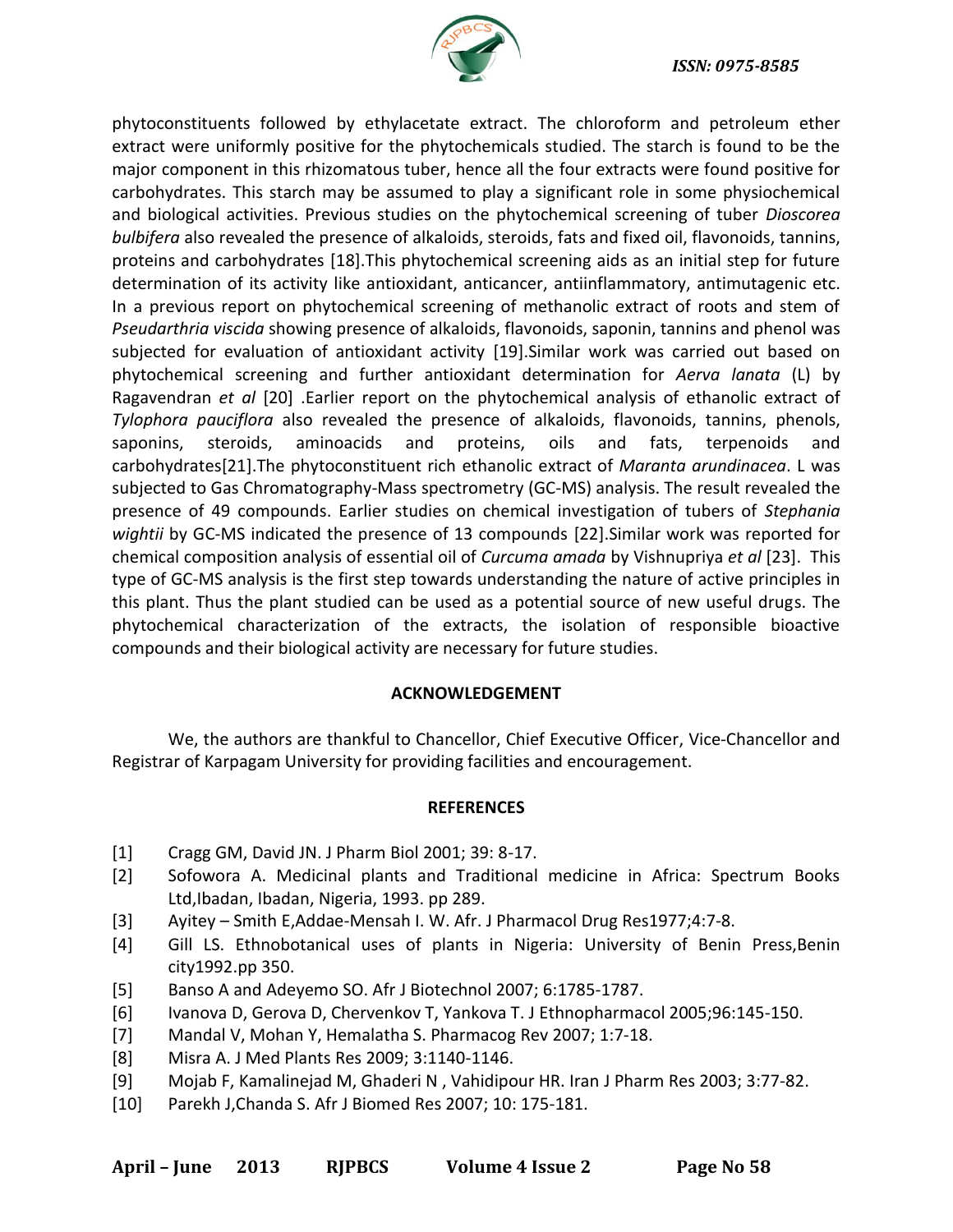

phytoconstituents followed by ethylacetate extract. The chloroform and petroleum ether extract were uniformly positive for the phytochemicals studied. The starch is found to be the major component in this rhizomatous tuber, hence all the four extracts were found positive for carbohydrates. This starch may be assumed to play a significant role in some physiochemical and biological activities. Previous studies on the phytochemical screening of tuber *Dioscorea bulbifera* also revealed the presence of alkaloids, steroids, fats and fixed oil, flavonoids, tannins, proteins and carbohydrates [18].This phytochemical screening aids as an initial step for future determination of its activity like antioxidant, anticancer, antiinflammatory, antimutagenic etc. In a previous report on phytochemical screening of methanolic extract of roots and stem of *Pseudarthria viscida* showing presence of alkaloids, flavonoids, saponin, tannins and phenol was subjected for evaluation of antioxidant activity [19].Similar work was carried out based on phytochemical screening and further antioxidant determination for *Aerva lanata* (L) by Ragavendran *et al* [20] .Earlier report on the phytochemical analysis of ethanolic extract of *Tylophora pauciflora* also revealed the presence of alkaloids, flavonoids, tannins, phenols, saponins, steroids, aminoacids and proteins, oils and fats, terpenoids and carbohydrates[21].The phytoconstituent rich ethanolic extract of *Maranta arundinacea*. L was subjected to Gas Chromatography-Mass spectrometry (GC-MS) analysis. The result revealed the presence of 49 compounds. Earlier studies on chemical investigation of tubers of *Stephania wightii* by GC-MS indicated the presence of 13 compounds [22].Similar work was reported for chemical composition analysis of essential oil of *Curcuma amada* by Vishnupriya *et al* [23]. This type of GC-MS analysis is the first step towards understanding the nature of active principles in this plant. Thus the plant studied can be used as a potential source of new useful drugs. The phytochemical characterization of the extracts, the isolation of responsible bioactive compounds and their biological activity are necessary for future studies.

#### **ACKNOWLEDGEMENT**

We, the authors are thankful to Chancellor, Chief Executive Officer, Vice-Chancellor and Registrar of Karpagam University for providing facilities and encouragement.

#### **REFERENCES**

- [1] Cragg GM, David JN. J Pharm Biol 2001; 39: 8-17.
- [2] Sofowora A. Medicinal plants and Traditional medicine in Africa: Spectrum Books Ltd,Ibadan, Ibadan, Nigeria, 1993. pp 289.
- [3] Ayitey Smith E,Addae-Mensah I. W. Afr. J Pharmacol Drug Res1977;4:7-8.
- [4] Gill LS. Ethnobotanical uses of plants in Nigeria: University of Benin Press,Benin city1992.pp 350.
- [5] Banso A and Adeyemo SO. Afr J Biotechnol 2007; 6:1785-1787.
- [6] Ivanova D, Gerova D, Chervenkov T, Yankova T. J Ethnopharmacol 2005;96:145-150.
- [7] Mandal V, Mohan Y, Hemalatha S. Pharmacog Rev 2007; 1:7-18.
- [8] Misra A. J Med Plants Res 2009; 3:1140-1146.
- [9] Mojab F, Kamalinejad M, Ghaderi N , Vahidipour HR. Iran J Pharm Res 2003; 3:77-82.
- [10] Parekh J,Chanda S. Afr J Biomed Res 2007; 10: 175-181.